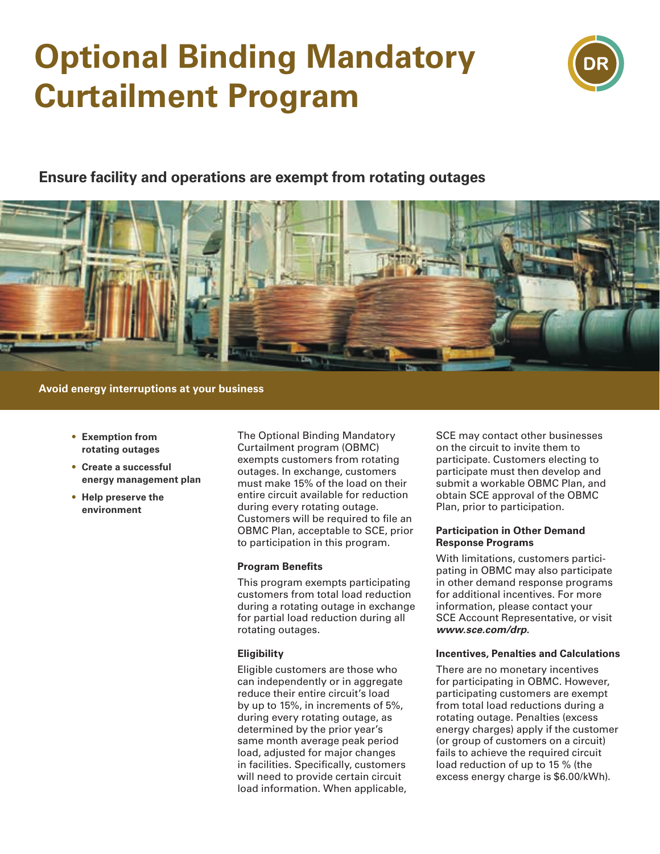# **Optional Binding Mandatory Curtailment Program**



### **Ensure facility and operations are exempt from rotating outages**



**Avoid energy interruptions at your business**

- **• Exemption from rotating outages**
- **• Create a successful energy management plan**
- **• Help preserve the environment**

The Optional Binding Mandatory Curtailment program (OBMC) exempts customers from rotating outages. In exchange, customers must make 15% of the load on their entire circuit available for reduction during every rotating outage. Customers will be required to file an OBMC Plan, acceptable to SCE, prior to participation in this program.

#### **Program Benefits**

This program exempts participating customers from total load reduction during a rotating outage in exchange for partial load reduction during all rotating outages.

#### **Eligibility**

Eligible customers are those who can independently or in aggregate reduce their entire circuit's load by up to 15%, in increments of 5%, during every rotating outage, as determined by the prior year's same month average peak period load, adjusted for major changes in facilities. Specifically, customers will need to provide certain circuit load information. When applicable,

SCE may contact other businesses on the circuit to invite them to participate. Customers electing to participate must then develop and submit a workable OBMC Plan, and obtain SCE approval of the OBMC Plan, prior to participation.

#### **Participation in Other Demand Response Programs**

With limitations, customers participating in OBMC may also participate in other demand response programs for additional incentives. For more information, please contact your SCE Account Representative, or visit *www.sce.com/drp.*

#### **Incentives, Penalties and Calculations**

There are no monetary incentives for participating in OBMC. However, participating customers are exempt from total load reductions during a rotating outage. Penalties (excess energy charges) apply if the customer (or group of customers on a circuit) fails to achieve the required circuit load reduction of up to 15 % (the excess energy charge is \$6.00/kWh).